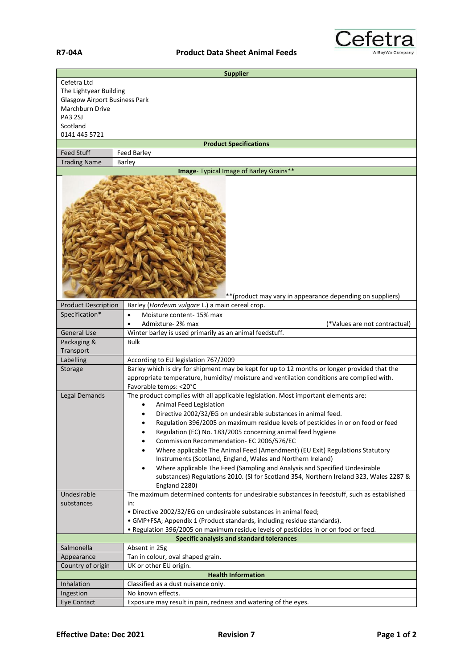

| <b>Supplier</b>                       |                                                                                                                                                                                                                      |
|---------------------------------------|----------------------------------------------------------------------------------------------------------------------------------------------------------------------------------------------------------------------|
| Cefetra Ltd<br>The Lightyear Building |                                                                                                                                                                                                                      |
| <b>Glasgow Airport Business Park</b>  |                                                                                                                                                                                                                      |
| Marchburn Drive                       |                                                                                                                                                                                                                      |
| <b>PA3 2SJ</b>                        |                                                                                                                                                                                                                      |
| Scotland<br>0141 445 5721             |                                                                                                                                                                                                                      |
| <b>Product Specifications</b>         |                                                                                                                                                                                                                      |
| <b>Feed Stuff</b>                     | Feed Barley                                                                                                                                                                                                          |
| <b>Trading Name</b>                   | Barley                                                                                                                                                                                                               |
|                                       | Image- Typical Image of Barley Grains**                                                                                                                                                                              |
|                                       | ** (product may vary in appearance depending on suppliers)                                                                                                                                                           |
| <b>Product Description</b>            | Barley (Hordeum vulgare L.) a main cereal crop.                                                                                                                                                                      |
| Specification*                        | Moisture content-15% max<br>$\bullet$                                                                                                                                                                                |
|                                       | Admixture-2% max<br>(*Values are not contractual)                                                                                                                                                                    |
| <b>General Use</b>                    | Winter barley is used primarily as an animal feedstuff.                                                                                                                                                              |
| Packaging &                           | Bulk                                                                                                                                                                                                                 |
| Transport                             |                                                                                                                                                                                                                      |
| Labelling                             | According to EU legislation 767/2009                                                                                                                                                                                 |
| Storage                               | Barley which is dry for shipment may be kept for up to 12 months or longer provided that the<br>appropriate temperature, humidity/ moisture and ventilation conditions are complied with.<br>Favorable temps: < 20°C |
| Legal Demands                         | The product complies with all applicable legislation. Most important elements are:                                                                                                                                   |
|                                       | <b>Animal Feed Legislation</b>                                                                                                                                                                                       |
|                                       | Directive 2002/32/EG on undesirable substances in animal feed.                                                                                                                                                       |
|                                       | Regulation 396/2005 on maximum residue levels of pesticides in or on food or feed                                                                                                                                    |
|                                       | Regulation (EC) No. 183/2005 concerning animal feed hygiene<br>٠                                                                                                                                                     |
|                                       | Commission Recommendation- EC 2006/576/EC<br>٠                                                                                                                                                                       |
|                                       | Where applicable The Animal Feed (Amendment) (EU Exit) Regulations Statutory<br>$\bullet$                                                                                                                            |
|                                       | Instruments (Scotland, England, Wales and Northern Ireland)                                                                                                                                                          |
|                                       | Where applicable The Feed (Sampling and Analysis and Specified Undesirable<br>$\bullet$                                                                                                                              |
|                                       | substances) Regulations 2010. (SI for Scotland 354, Northern Ireland 323, Wales 2287 &                                                                                                                               |
| Undesirable                           | England 2280)<br>The maximum determined contents for undesirable substances in feedstuff, such as established                                                                                                        |
| substances                            | in:                                                                                                                                                                                                                  |
|                                       | . Directive 2002/32/EG on undesirable substances in animal feed;                                                                                                                                                     |
|                                       | • GMP+FSA; Appendix 1 (Product standards, including residue standards).                                                                                                                                              |
|                                       | . Regulation 396/2005 on maximum residue levels of pesticides in or on food or feed.                                                                                                                                 |
|                                       | Specific analysis and standard tolerances                                                                                                                                                                            |
| Salmonella                            | Absent in 25g                                                                                                                                                                                                        |
| Appearance                            | Tan in colour, oval shaped grain.                                                                                                                                                                                    |
| Country of origin                     | UK or other EU origin.                                                                                                                                                                                               |
|                                       | <b>Health Information</b>                                                                                                                                                                                            |
| Inhalation                            | Classified as a dust nuisance only.                                                                                                                                                                                  |
| Ingestion                             | No known effects.                                                                                                                                                                                                    |
| Eye Contact                           | Exposure may result in pain, redness and watering of the eyes.                                                                                                                                                       |